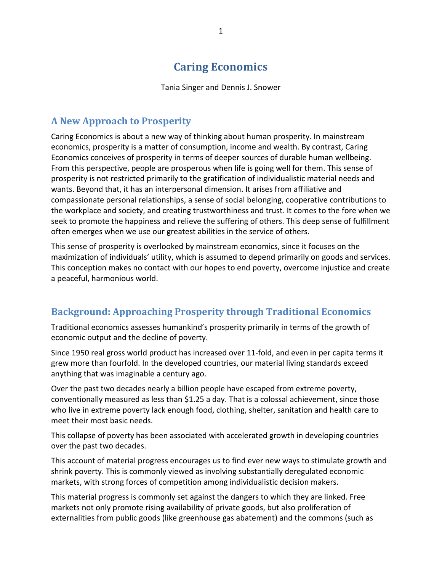# **Caring Economics**

Tania Singer and Dennis J. Snower

### **A New Approach to Prosperity**

Caring Economics is about a new way of thinking about human prosperity. In mainstream economics, prosperity is a matter of consumption, income and wealth. By contrast, Caring Economics conceives of prosperity in terms of deeper sources of durable human wellbeing. From this perspective, people are prosperous when life is going well for them. This sense of prosperity is not restricted primarily to the gratification of individualistic material needs and wants. Beyond that, it has an interpersonal dimension. It arises from affiliative and compassionate personal relationships, a sense of social belonging, cooperative contributions to the workplace and society, and creating trustworthiness and trust. It comes to the fore when we seek to promote the happiness and relieve the suffering of others. This deep sense of fulfillment often emerges when we use our greatest abilities in the service of others.

This sense of prosperity is overlooked by mainstream economics, since it focuses on the maximization of individuals' utility, which is assumed to depend primarily on goods and services. This conception makes no contact with our hopes to end poverty, overcome injustice and create a peaceful, harmonious world.

### **Background: Approaching Prosperity through Traditional Economics**

Traditional economics assesses humankind's prosperity primarily in terms of the growth of economic output and the decline of poverty.

Since 1950 real gross world product has increased over 11-fold, and even in per capita terms it grew more than fourfold. In the developed countries, our material living standards exceed anything that was imaginable a century ago.

Over the past two decades nearly a billion people have escaped from extreme poverty, conventionally measured as less than \$1.25 a day. That is a colossal achievement, since those who live in extreme poverty lack enough food, clothing, shelter, sanitation and health care to meet their most basic needs.

This collapse of poverty has been associated with accelerated growth in developing countries over the past two decades.

This account of material progress encourages us to find ever new ways to stimulate growth and shrink poverty. This is commonly viewed as involving substantially deregulated economic markets, with strong forces of competition among individualistic decision makers.

This material progress is commonly set against the dangers to which they are linked. Free markets not only promote rising availability of private goods, but also proliferation of externalities from public goods (like greenhouse gas abatement) and the commons (such as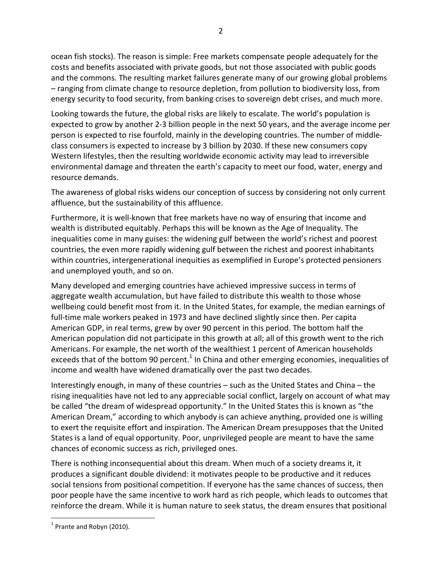ocean fish stocks). The reason is simple: Free markets compensate people adequately for the costs and benefits associated with private goods, but not those associated with public goods and the commons. The resulting market failures generate many of our growing global problems – ranging from climate change to resource depletion, from pollution to biodiversity loss, from energy security to food security, from banking crises to sovereign debt crises, and much more.

Looking towards the future, the global risks are likely to escalate. The world's population is expected to grow by another 2-3 billion people in the next 50 years, and the average income per person is expected to rise fourfold, mainly in the developing countries. The number of middleclass consumers is expected to increase by 3 billion by 2030. If these new consumers copy Western lifestyles, then the resulting worldwide economic activity may lead to irreversible environmental damage and threaten the earth's capacity to meet our food, water, energy and resource demands.

The awareness of global risks widens our conception of success by considering not only current affluence, but the sustainability of this affluence.

Furthermore, it is well-known that free markets have no way of ensuring that income and wealth is distributed equitably. Perhaps this will be known as the Age of Inequality. The inequalities come in many guises: the widening gulf between the world's richest and poorest countries, the even more rapidly widening gulf between the richest and poorest inhabitants within countries, intergenerational inequities as exemplified in Europe's protected pensioners and unemployed youth, and so on.

Many developed and emerging countries have achieved impressive success in terms of aggregate wealth accumulation, but have failed to distribute this wealth to those whose wellbeing could benefit most from it. In the United States, for example, the median earnings of full-time male workers peaked in 1973 and have declined slightly since then. Per capita American GDP, in real terms, grew by over 90 percent in this period. The bottom half the American population did not participate in this growth at all; all of this growth went to the rich Americans. For example, the net worth of the wealthiest 1 percent of American households exceeds that of the bottom 90 percent.<sup>1</sup> In China and other emerging economies, inequalities of income and wealth have widened dramatically over the past two decades.

Interestingly enough, in many of these countries – such as the United States and China – the rising inequalities have not led to any appreciable social conflict, largely on account of what may be called "the dream of widespread opportunity." In the United States this is known as "the American Dream," according to which anybody is can achieve anything, provided one is willing to exert the requisite effort and inspiration. The American Dream presupposes that the United States is a land of equal opportunity. Poor, unprivileged people are meant to have the same chances of economic success as rich, privileged ones.

There is nothing inconsequential about this dream. When much of a society dreams it, it produces a significant double dividend: it motivates people to be productive and it reduces social tensions from positional competition. If everyone has the same chances of success, then poor people have the same incentive to work hard as rich people, which leads to outcomes that reinforce the dream. While it is human nature to seek status, the dream ensures that positional

 $<sup>1</sup>$  Prante and Robyn (2010).</sup>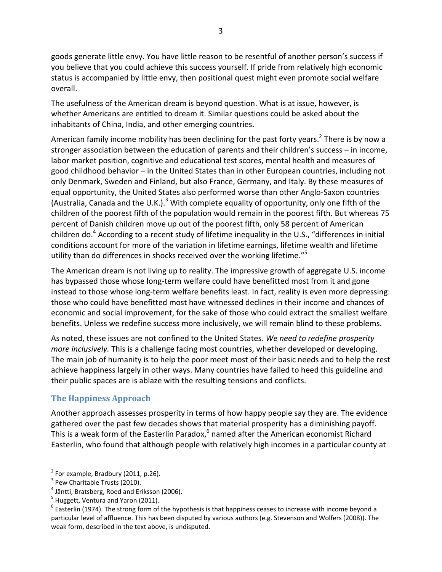goods generate little envy. You have little reason to be resentful of another person's success if you believe that you could achieve this success yourself. If pride from relatively high economic status is accompanied by little envy, then positional quest might even promote social welfare overall.

The usefulness of the American dream is beyond question. What is at issue, however, is whether Americans are entitled to dream it. Similar questions could be asked about the inhabitants of China, India, and other emerging countries.

American family income mobility has been declining for the past forty years.<sup>2</sup> There is by now a stronger association between the education of parents and their children's success – in income, labor market position, cognitive and educational test scores, mental health and measures of good childhood behavior – in the United States than in other European countries, including not only Denmark, Sweden and Finland, but also France, Germany, and Italy. By these measures of equal opportunity, the United States also performed worse than other Anglo-Saxon countries (Australia, Canada and the U.K.).<sup>3</sup> With complete equality of opportunity, only one fifth of the children of the poorest fifth of the population would remain in the poorest fifth. But whereas 75 percent of Danish children move up out of the poorest fifth, only 58 percent of American children do.<sup>4</sup> According to a recent study of lifetime inequality in the U.S., "differences in initial conditions account for more of the variation in lifetime earnings, lifetime wealth and lifetime utility than do differences in shocks received over the working lifetime."<sup>5</sup>

The American dream is not living up to reality. The impressive growth of aggregate U.S. income has bypassed those whose long-term welfare could have benefitted most from it and gone instead to those whose long-term welfare benefits least. In fact, reality is even more depressing: those who could have benefitted most have witnessed declines in their income and chances of economic and social improvement, for the sake of those who could extract the smallest welfare benefits. Unless we redefine success more inclusively, we will remain blind to these problems.

As noted, these issues are not confined to the United States. *We need to redefine prosperity more inclusively.* This is a challenge facing most countries, whether developed or developing. The main job of humanity is to help the poor meet most of their basic needs and to help the rest achieve happiness largely in other ways. Many countries have failed to heed this guideline and their public spaces are is ablaze with the resulting tensions and conflicts.

#### **The Happiness Approach**

Another approach assesses prosperity in terms of how happy people say they are. The evidence gathered over the past few decades shows that material prosperity has a diminishing payoff. This is a weak form of the Easterlin Paradox,<sup>6</sup> named after the American economist Richard Easterlin, who found that although people with relatively high incomes in a particular county at

 $2$  For example, Bradbury (2011, p.26).

<sup>&</sup>lt;sup>3</sup> Pew Charitable Trusts (2010).

<sup>4</sup> Jäntti, Bratsberg, Roed and Eriksson (2006).

 $<sup>5</sup>$  Huggett, Ventura and Yaron (2011).</sup>

 $6$  Easterlin (1974). The strong form of the hypothesis is that happiness ceases to increase with income beyond a particular level of affluence. This has been disputed by various authors (e.g. Stevenson and Wolfers (2008)). The weak form, described in the text above, is undisputed.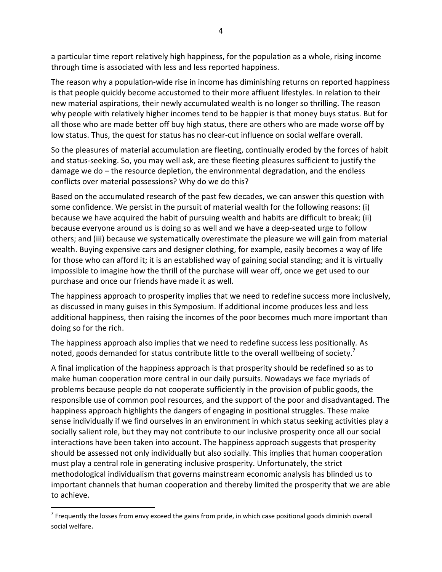a particular time report relatively high happiness, for the population as a whole, rising income through time is associated with less and less reported happiness.

The reason why a population-wide rise in income has diminishing returns on reported happiness is that people quickly become accustomed to their more affluent lifestyles. In relation to their new material aspirations, their newly accumulated wealth is no longer so thrilling. The reason why people with relatively higher incomes tend to be happier is that money buys status. But for all those who are made better off buy high status, there are others who are made worse off by low status. Thus, the quest for status has no clear-cut influence on social welfare overall.

So the pleasures of material accumulation are fleeting, continually eroded by the forces of habit and status-seeking. So, you may well ask, are these fleeting pleasures sufficient to justify the damage we do – the resource depletion, the environmental degradation, and the endless conflicts over material possessions? Why do we do this?

Based on the accumulated research of the past few decades, we can answer this question with some confidence. We persist in the pursuit of material wealth for the following reasons: (i) because we have acquired the habit of pursuing wealth and habits are difficult to break; (ii) because everyone around us is doing so as well and we have a deep-seated urge to follow others; and (iii) because we systematically overestimate the pleasure we will gain from material wealth. Buying expensive cars and designer clothing, for example, easily becomes a way of life for those who can afford it; it is an established way of gaining social standing; and it is virtually impossible to imagine how the thrill of the purchase will wear off, once we get used to our purchase and once our friends have made it as well.

The happiness approach to prosperity implies that we need to redefine success more inclusively, as discussed in many guises in this Symposium. If additional income produces less and less additional happiness, then raising the incomes of the poor becomes much more important than doing so for the rich.

The happiness approach also implies that we need to redefine success less positionally*.* As noted, goods demanded for status contribute little to the overall wellbeing of society.<sup>7</sup>

A final implication of the happiness approach is that prosperity should be redefined so as to make human cooperation more central in our daily pursuits. Nowadays we face myriads of problems because people do not cooperate sufficiently in the provision of public goods, the responsible use of common pool resources, and the support of the poor and disadvantaged. The happiness approach highlights the dangers of engaging in positional struggles. These make sense individually if we find ourselves in an environment in which status seeking activities play a socially salient role, but they may not contribute to our inclusive prosperity once all our social interactions have been taken into account. The happiness approach suggests that prosperity should be assessed not only individually but also socially. This implies that human cooperation must play a central role in generating inclusive prosperity. Unfortunately, the strict methodological individualism that governs mainstream economic analysis has blinded us to important channels that human cooperation and thereby limited the prosperity that we are able to achieve.

<sup>&</sup>lt;sup>7</sup> Frequently the losses from envy exceed the gains from pride, in which case positional goods diminish overall social welfare.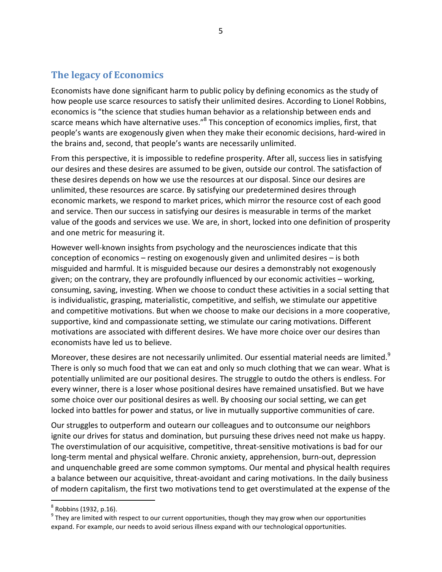### **The legacy of Economics**

Economists have done significant harm to public policy by defining economics as the study of how people use scarce resources to satisfy their unlimited desires. According to Lionel Robbins, economics is "the science that studies human behavior as a relationship between ends and scarce means which have alternative uses."<sup>8</sup> This conception of economics implies, first, that people's wants are exogenously given when they make their economic decisions, hard-wired in the brains and, second, that people's wants are necessarily unlimited.

From this perspective, it is impossible to redefine prosperity. After all, success lies in satisfying our desires and these desires are assumed to be given, outside our control. The satisfaction of these desires depends on how we use the resources at our disposal. Since our desires are unlimited, these resources are scarce. By satisfying our predetermined desires through economic markets, we respond to market prices, which mirror the resource cost of each good and service. Then our success in satisfying our desires is measurable in terms of the market value of the goods and services we use. We are, in short, locked into one definition of prosperity and one metric for measuring it.

However well-known insights from psychology and the neurosciences indicate that this conception of economics – resting on exogenously given and unlimited desires – is both misguided and harmful. It is misguided because our desires a demonstrably not exogenously given; on the contrary, they are profoundly influenced by our economic activities – working, consuming, saving, investing. When we choose to conduct these activities in a social setting that is individualistic, grasping, materialistic, competitive, and selfish, we stimulate our appetitive and competitive motivations. But when we choose to make our decisions in a more cooperative, supportive, kind and compassionate setting, we stimulate our caring motivations. Different motivations are associated with different desires. We have more choice over our desires than economists have led us to believe.

Moreover, these desires are not necessarily unlimited. Our essential material needs are limited.<sup>9</sup> There is only so much food that we can eat and only so much clothing that we can wear. What is potentially unlimited are our positional desires. The struggle to outdo the others is endless. For every winner, there is a loser whose positional desires have remained unsatisfied. But we have some choice over our positional desires as well. By choosing our social setting, we can get locked into battles for power and status, or live in mutually supportive communities of care.

Our struggles to outperform and outearn our colleagues and to outconsume our neighbors ignite our drives for status and domination, but pursuing these drives need not make us happy. The overstimulation of our acquisitive, competitive, threat-sensitive motivations is bad for our long-term mental and physical welfare. Chronic anxiety, apprehension, burn-out, depression and unquenchable greed are some common symptoms. Our mental and physical health requires a balance between our acquisitive, threat-avoidant and caring motivations. In the daily business of modern capitalism, the first two motivations tend to get overstimulated at the expense of the

 $<sup>8</sup>$  Robbins (1932, p.16).</sup>

 $9$  They are limited with respect to our current opportunities, though they may grow when our opportunities expand. For example, our needs to avoid serious illness expand with our technological opportunities.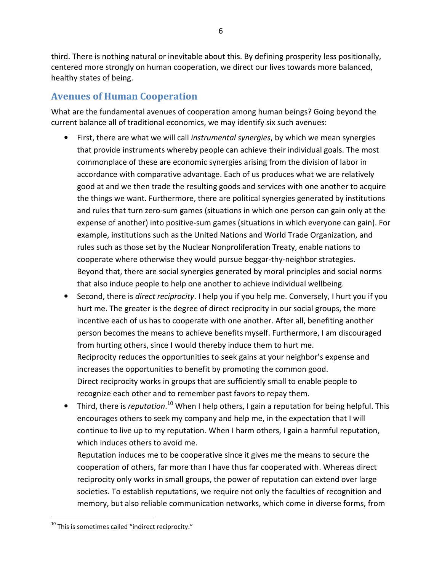third. There is nothing natural or inevitable about this. By defining prosperity less positionally, centered more strongly on human cooperation, we direct our lives towards more balanced, healthy states of being.

### **Avenues of Human Cooperation**

What are the fundamental avenues of cooperation among human beings? Going beyond the current balance all of traditional economics, we may identify six such avenues:

- First, there are what we will call *instrumental synergies*, by which we mean synergies that provide instruments whereby people can achieve their individual goals. The most commonplace of these are economic synergies arising from the division of labor in accordance with comparative advantage. Each of us produces what we are relatively good at and we then trade the resulting goods and services with one another to acquire the things we want. Furthermore, there are political synergies generated by institutions and rules that turn zero-sum games (situations in which one person can gain only at the expense of another) into positive-sum games (situations in which everyone can gain). For example, institutions such as the United Nations and World Trade Organization, and rules such as those set by the Nuclear Nonproliferation Treaty, enable nations to cooperate where otherwise they would pursue beggar-thy-neighbor strategies. Beyond that, there are social synergies generated by moral principles and social norms that also induce people to help one another to achieve individual wellbeing.
- Second, there is *direct reciprocity*. I help you if you help me. Conversely, I hurt you if you hurt me. The greater is the degree of direct reciprocity in our social groups, the more incentive each of us has to cooperate with one another. After all, benefiting another person becomes the means to achieve benefits myself. Furthermore, I am discouraged from hurting others, since I would thereby induce them to hurt me. Reciprocity reduces the opportunities to seek gains at your neighbor's expense and increases the opportunities to benefit by promoting the common good. Direct reciprocity works in groups that are sufficiently small to enable people to recognize each other and to remember past favors to repay them.
- Third, there is *reputation*. <sup>10</sup> When I help others, I gain a reputation for being helpful. This encourages others to seek my company and help me, in the expectation that I will continue to live up to my reputation. When I harm others, I gain a harmful reputation, which induces others to avoid me.

Reputation induces me to be cooperative since it gives me the means to secure the cooperation of others, far more than I have thus far cooperated with. Whereas direct reciprocity only works in small groups, the power of reputation can extend over large societies. To establish reputations, we require not only the faculties of recognition and memory, but also reliable communication networks, which come in diverse forms, from

 $10$  This is sometimes called "indirect reciprocity."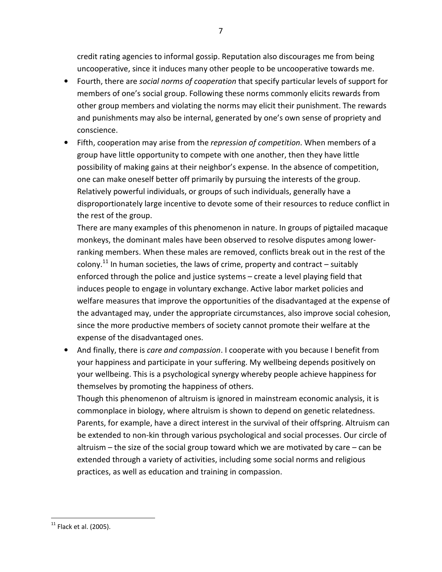credit rating agencies to informal gossip. Reputation also discourages me from being uncooperative, since it induces many other people to be uncooperative towards me.

- Fourth, there are *social norms of cooperation* that specify particular levels of support for members of one's social group. Following these norms commonly elicits rewards from other group members and violating the norms may elicit their punishment. The rewards and punishments may also be internal, generated by one's own sense of propriety and conscience.
- Fifth, cooperation may arise from the *repression of competition*. When members of a group have little opportunity to compete with one another, then they have little possibility of making gains at their neighbor's expense. In the absence of competition, one can make oneself better off primarily by pursuing the interests of the group. Relatively powerful individuals, or groups of such individuals, generally have a disproportionately large incentive to devote some of their resources to reduce conflict in the rest of the group.

There are many examples of this phenomenon in nature. In groups of pigtailed macaque monkeys, the dominant males have been observed to resolve disputes among lowerranking members. When these males are removed, conflicts break out in the rest of the colony.<sup>11</sup> In human societies, the laws of crime, property and contract – suitably enforced through the police and justice systems – create a level playing field that induces people to engage in voluntary exchange. Active labor market policies and welfare measures that improve the opportunities of the disadvantaged at the expense of the advantaged may, under the appropriate circumstances, also improve social cohesion, since the more productive members of society cannot promote their welfare at the expense of the disadvantaged ones.

• And finally, there is *care and compassion*. I cooperate with you because I benefit from your happiness and participate in your suffering. My wellbeing depends positively on your wellbeing. This is a psychological synergy whereby people achieve happiness for themselves by promoting the happiness of others.

Though this phenomenon of altruism is ignored in mainstream economic analysis, it is commonplace in biology, where altruism is shown to depend on genetic relatedness. Parents, for example, have a direct interest in the survival of their offspring. Altruism can be extended to non-kin through various psychological and social processes. Our circle of altruism – the size of the social group toward which we are motivated by care – can be extended through a variety of activities, including some social norms and religious practices, as well as education and training in compassion.

 $11$  Flack et al. (2005).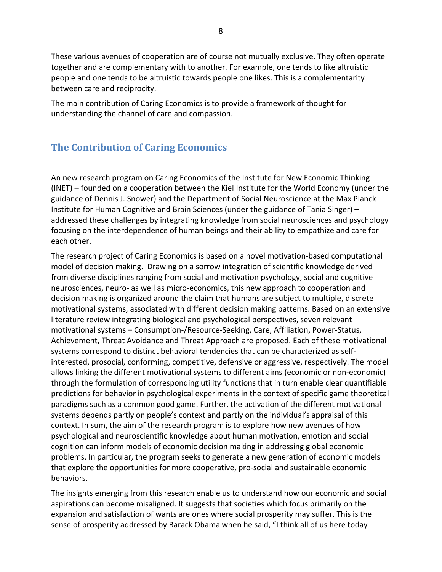These various avenues of cooperation are of course not mutually exclusive. They often operate together and are complementary with to another. For example, one tends to like altruistic people and one tends to be altruistic towards people one likes. This is a complementarity between care and reciprocity.

The main contribution of Caring Economics is to provide a framework of thought for understanding the channel of care and compassion.

## **The Contribution of Caring Economics**

An new research program on Caring Economics of the Institute for New Economic Thinking (INET) – founded on a cooperation between the Kiel Institute for the World Economy (under the guidance of Dennis J. Snower) and the Department of Social Neuroscience at the Max Planck Institute for Human Cognitive and Brain Sciences (under the guidance of Tania Singer) – addressed these challenges by integrating knowledge from social neurosciences and psychology focusing on the interdependence of human beings and their ability to empathize and care for each other.

The research project of Caring Economics is based on a novel motivation-based computational model of decision making. Drawing on a sorrow integration of scientific knowledge derived from diverse disciplines ranging from social and motivation psychology, social and cognitive neurosciences, neuro- as well as micro-economics, this new approach to cooperation and decision making is organized around the claim that humans are subject to multiple, discrete motivational systems, associated with different decision making patterns. Based on an extensive literature review integrating biological and psychological perspectives, seven relevant motivational systems – Consumption-/Resource-Seeking, Care, Affiliation, Power-Status, Achievement, Threat Avoidance and Threat Approach are proposed. Each of these motivational systems correspond to distinct behavioral tendencies that can be characterized as selfinterested, prosocial, conforming, competitive, defensive or aggressive, respectively. The model allows linking the different motivational systems to different aims (economic or non-economic) through the formulation of corresponding utility functions that in turn enable clear quantifiable predictions for behavior in psychological experiments in the context of specific game theoretical paradigms such as a common good game. Further, the activation of the different motivational systems depends partly on people's context and partly on the individual's appraisal of this context. In sum, the aim of the research program is to explore how new avenues of how psychological and neuroscientific knowledge about human motivation, emotion and social cognition can inform models of economic decision making in addressing global economic problems. In particular, the program seeks to generate a new generation of economic models that explore the opportunities for more cooperative, pro-social and sustainable economic behaviors.

The insights emerging from this research enable us to understand how our economic and social aspirations can become misaligned. It suggests that societies which focus primarily on the expansion and satisfaction of wants are ones where social prosperity may suffer. This is the sense of prosperity addressed by Barack Obama when he said, "I think all of us here today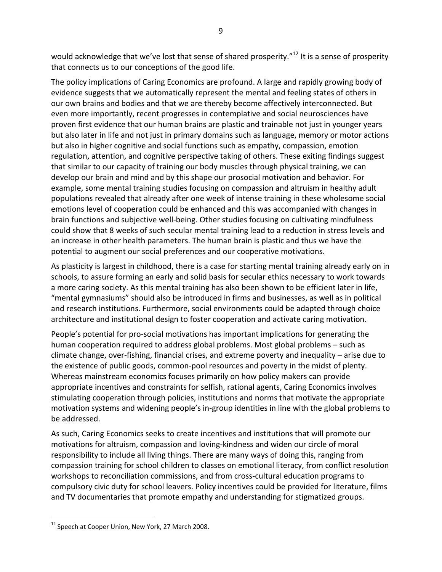would acknowledge that we've lost that sense of shared prosperity."<sup>12</sup> It is a sense of prosperity that connects us to our conceptions of the good life.

The policy implications of Caring Economics are profound. A large and rapidly growing body of evidence suggests that we automatically represent the mental and feeling states of others in our own brains and bodies and that we are thereby become affectively interconnected. But even more importantly, recent progresses in contemplative and social neurosciences have proven first evidence that our human brains are plastic and trainable not just in younger years but also later in life and not just in primary domains such as language, memory or motor actions but also in higher cognitive and social functions such as empathy, compassion, emotion regulation, attention, and cognitive perspective taking of others. These exiting findings suggest that similar to our capacity of training our body muscles through physical training, we can develop our brain and mind and by this shape our prosocial motivation and behavior. For example, some mental training studies focusing on compassion and altruism in healthy adult populations revealed that already after one week of intense training in these wholesome social emotions level of cooperation could be enhanced and this was accompanied with changes in brain functions and subjective well-being. Other studies focusing on cultivating mindfulness could show that 8 weeks of such secular mental training lead to a reduction in stress levels and an increase in other health parameters. The human brain is plastic and thus we have the potential to augment our social preferences and our cooperative motivations.

As plasticity is largest in childhood, there is a case for starting mental training already early on in schools, to assure forming an early and solid basis for secular ethics necessary to work towards a more caring society. As this mental training has also been shown to be efficient later in life, "mental gymnasiums" should also be introduced in firms and businesses, as well as in political and research institutions. Furthermore, social environments could be adapted through choice architecture and institutional design to foster cooperation and activate caring motivation.

People's potential for pro-social motivations has important implications for generating the human cooperation required to address global problems. Most global problems – such as climate change, over-fishing, financial crises, and extreme poverty and inequality – arise due to the existence of public goods, common-pool resources and poverty in the midst of plenty. Whereas mainstream economics focuses primarily on how policy makers can provide appropriate incentives and constraints for selfish, rational agents, Caring Economics involves stimulating cooperation through policies, institutions and norms that motivate the appropriate motivation systems and widening people's in-group identities in line with the global problems to be addressed.

As such, Caring Economics seeks to create incentives and institutions that will promote our motivations for altruism, compassion and loving-kindness and widen our circle of moral responsibility to include all living things. There are many ways of doing this, ranging from compassion training for school children to classes on emotional literacy, from conflict resolution workshops to reconciliation commissions, and from cross-cultural education programs to compulsory civic duty for school leavers. Policy incentives could be provided for literature, films and TV documentaries that promote empathy and understanding for stigmatized groups.

<sup>&</sup>lt;sup>12</sup> Speech at Cooper Union, New York, 27 March 2008.